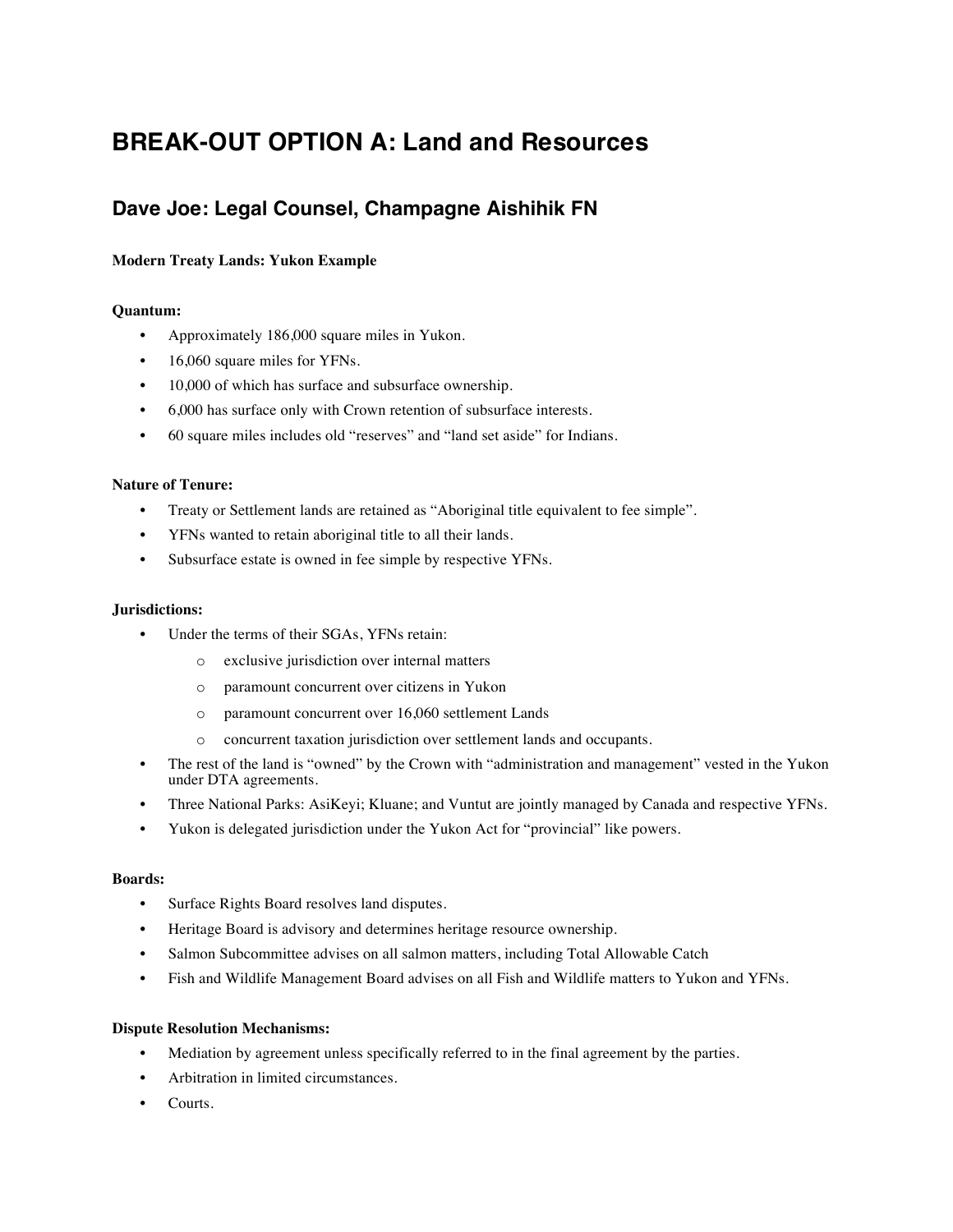# **BREAK-OUT OPTION A: Land and Resources**

# **Dave Joe: Legal Counsel, Champagne Aishihik FN**

## **Modern Treaty Lands: Yukon Example**

### **Quantum:**

- Approximately 186,000 square miles in Yukon.
- 16,060 square miles for YFNs.
- 10,000 of which has surface and subsurface ownership.
- 6,000 has surface only with Crown retention of subsurface interests.
- 60 square miles includes old "reserves" and "land set aside" for Indians.

#### **Nature of Tenure:**

- Treaty or Settlement lands are retained as "Aboriginal title equivalent to fee simple".
- YFNs wanted to retain aboriginal title to all their lands.
- Subsurface estate is owned in fee simple by respective YFNs.

#### **Jurisdictions:**

- Under the terms of their SGAs, YFNs retain:
	- o exclusive jurisdiction over internal matters
	- o paramount concurrent over citizens in Yukon
	- o paramount concurrent over 16,060 settlement Lands
	- o concurrent taxation jurisdiction over settlement lands and occupants.
- The rest of the land is "owned" by the Crown with "administration and management" vested in the Yukon under DTA agreements.
- Three National Parks: AsiKeyi; Kluane; and Vuntut are jointly managed by Canada and respective YFNs.
- Yukon is delegated jurisdiction under the Yukon Act for "provincial" like powers.

#### **Boards:**

- Surface Rights Board resolves land disputes.
- Heritage Board is advisory and determines heritage resource ownership.
- Salmon Subcommittee advises on all salmon matters, including Total Allowable Catch
- Fish and Wildlife Management Board advises on all Fish and Wildlife matters to Yukon and YFNs.

#### **Dispute Resolution Mechanisms:**

- Mediation by agreement unless specifically referred to in the final agreement by the parties.
- Arbitration in limited circumstances.
- Courts.